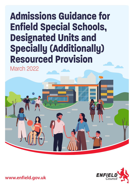# **Admissions Guidance for Enfield Special Schools, Designated Units and Specially (Additionally) Resourced Provision**

March 2022





**www.enfield.gov.uk**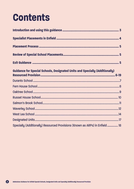# **Contents**

| <b>Guidance for Special Schools, Designated Units and Specially (Additionally)</b> |  |
|------------------------------------------------------------------------------------|--|
|                                                                                    |  |
|                                                                                    |  |
|                                                                                    |  |
|                                                                                    |  |
|                                                                                    |  |
|                                                                                    |  |
|                                                                                    |  |
|                                                                                    |  |
| Specially (Additionally) Resourced Provisions (Known as ARPs) in Enfield 18        |  |

2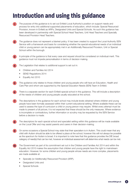# <span id="page-2-0"></span>**Introduction and using this guidance**

**1** The purpose of this guidance is to set out Enfield Local Authority's position on support needs and

process for entry into additional supported placements of education, which include: Special Resourced Provision, known in Enfield as ARPs, Designated Units and Special Schools. As such this guidance has been developed in partnership with Special School Head Teachers, Unit Head Teachers and Specially Resourced Provision Head Teachers.

**2** The guidance does not represent a blanket policy. It has been created to support the Local Authority SEN Service with a framework and basis for considering whether the special educational needs of an individual child or young person can be appropriately met in an Additionally Resourced Provision, Unit or Special School within the borough.

**3** A principle of the guidance is that every case and request should be considered on individual merit. This guidance must not impede personalisation in terms of decision making.

The Legislation that relates to additional support is set out in:

- Children and Families Act 2014
- SEND Regulations 2014
- Equality Act 2010

This guidance only relates to those children and young people who will have an Education, Health and Care Plan and whom are supported by the Special Education Needs (SEN) Team in Enfield.

There is a separate section for each Enfield special school in this guidance. This will include a description of the needs of children and young people usually educated at the school.

**7** The descriptions in the guidance for each school may include levels obtained where children and young people have been formally assessed within their current educational setting. Where available these can be used to assess the type of curriculum a child or young person may require. Whilst every attempt must be made to present a full picture, it is not expected that these should be the only measures. Where evidence is incomplete or contradictory, further information or scrutiny may be requested by the SEN Service before a decision is made.

The descriptors for each special school and specialist setting within this guidance will be made available on the Local Offer and may assist parents and carers in their decision-making.

On some occasions a Special School may state that their specialism is in Autism. This could mean that any child with Autism should be able to be offered a place at the school, however this will not always be possible as the spectrum for Autism is broad. It is important to note here that this guidance provides the DfE broad category of need(s) that can be met, however an individual assessment will determine what needs can be met.

**10** The Government as part of its commitment set out in the Children and Families Act 2014 and within the Equality Act 2010 makes the assumption that children and young people have the right to mainstream education. However, for some children and young people whose needs are more complex, placements are made available at:

- Specially (or Additionally) Resourced Provision (ARP),
- Designated Units and
- Special Schools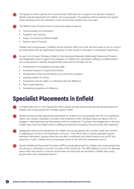<span id="page-3-0"></span>**11** This guidance will be used by the Local Authority's SEN Service to support in its decision making to identify potential placements for children and young people. The guidance will be reviewed and revised where necessary and will undertake a more formal review at least every two years.

**12** The SEND Code of Practice sets out the broad areas of need as:

- Communication and Interaction
- Cognition and Learning
- Social, Emotional and Mental Health
- Sensory and/or Physical

 Children and young people in Enfield's School Schools, ARPs and Units will have needs in one or more of the areas above that are significantly impacting on their access to education in mainstream classrooms.

**13** As part of its Inclusion Strategy, Enfield LA has developed Specially (Additionally) Resourced Provision and Designated Units to support the integration of children into mainstream settings to enable children and young people to develop alongside their peers and the benefits can be:

- Development of socialisation and play skills
- Increased inclusion in future environments
- Development of life-long friendships and community cohesion
- Learning respect for others
- Acceptance and the ability to understand and see difference
- Peer to peer learning
- Developing acceptance of difference

# **Specialist Placements in Enfield**

- **14** In Enfield there are 6 (7 from September 2022) special schools that provide educational placements for children and young people with complex support needs.
- **15** Special schools provide appropriate placements for children and young people with the most significant needs, who require a specialist curriculum that is tailored to their individual needs and allows them to engage in meaningful learning that prepares them for adulthood. To achieve this engagement in learning, smaller class sizes and higher levels of staffing and expertise throughout the school are often deployed.
- **16** Designated Units provide placements for children and young people with complex needs who will find it challenging to access a full mainstream curriculum. They will be able to access specialist support, attending mainstream classes where they are able to participate and attend lessons such as PE and assembly or lunch. Children and young people will be on the roll of the mainstream school.
- **Special (Additional) Resourced Provisions (ARPs) provide placements for children and young people who** can access a mainstream curriculum for parts of the school day. The ARP facilities can be in an allocated space within the school or could be virtual where the resources are provided to children and young people within their mainstream lessons.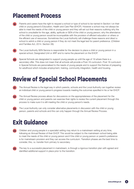# <span id="page-4-0"></span>**Placement Process**

- **18** Parents and carers have the right to request a school or type of school to be named in Section I on their child or young person's Education, Health and Care Plan (EHCP). However a school may not always be able to meet the needs of the child or young person and they will set out their reasons outlining why the school is unsuitable for the age, ability, aptitude or SEN of the child or young person; why the attendance of the child or young person would be incompatible with the provision of efficient education or others or the efficient use of resources. Sometimes the Local Authority will challenge these reasons and direct a school to admit a child or young person if they do not meet the legal test for parent preference. (Children and Families Act, 2014. Section 39).
- **19** The Local Authority SEN Service is responsible for the decision to place a child or young person in a special school, Designated Unit or ARP and to name the placement on the EHCP.
- **20** Special Schools are designated to support young people up until the age of 19 where there is a secondary offer. This does not mean that all schools will provide a Post-16 curriculum. Post 16 curriculum in Special Schools are personalised to the needs of young people and to support the themes of preparing for adulthood which includes employment, training, community integration, health and housing.

# **Review of Special School Placements**

- The Annual Review is the legal way in which parents, schools and the Local Authority can together review an individual child or young person's progress towards meeting the outcomes specified in his or her EHCP.
- The Annual Review process allows for discussions on the appropriateness of the placement for the child or young person and parents can exercise their rights to review the current placement through this process to make sure it is still meeting the child or young person's needs.
- The Local Authority can only consider alternative placements in discussion with the child or young person, parents and schools and this can only happen through the Annual Review Process.

# **Exit Guidance**

- **24** Children and young people in a specialist setting may return to a mainstream setting at any time, following an Annual Review of their EHCP. This would be subject to the mainstream school being able to meet the needs of the child or young person and if the child or young person or parent's preference is for mainstream provision and they can access the curriculum. Transition phases are the best time to consider, this, i.e. transfer from primary to secondary.
- **25** The key to a successful placement in mainstream, is through a rigorous transition plan with agreed and identified additional support in place prior to the transition.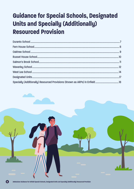# <span id="page-5-0"></span>**Guidance for Special Schools, Designated Units and Specially (Additionally) Resourced Provision**

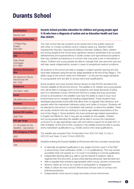# <span id="page-6-0"></span>**Durants School**

#### **Headteacher**

Rachel Carli

#### **Address Enfield Site**

4 Pitfield Way Enfield EN3 5BY

**Address Southgate Site**

**High Street Southgate** N14 6BN

**Address Winchmore Site**

20 Laburnum Grove Winchmore Hill N21 3HS

**Telephone**

020 8804 1980

**Email**

[office@durants.school](mailto:office%40durants.school?subject=)

**Website**

[durants.enfield.sch.uk](http://www.durants.enfield.sch.uk)

**School DfE number**

308/7000

**DfE age range**

11-19 (varies for the Satellite – see below)

**DfE Category of Need**

ASD

**Capacity (2022-2023)**

198

# **Durants School provides education for children and young people aged 11-19 who have a diagnosis of autism and an Education Health and Care Plan (EHCP).**

The main school site has students at the severe end of the autistic spectrum with other co-morbid conditions and/or medical needs e.g. Attention Deficit Hyperactivity Disorder, Oppositional Defiance Disorder, Epilepsy. Many children and young people at the school have significant sensory sensitivities such as audio defensiveness and hypersensitivity to tactile contact and rigid behavioural patterns that may manifest as behaviours of concern that may pose a risk to themselves or others. Children and young people are able to manage their own personal care and self-help needs independently, except in cases of exceptional medical conditions.

All students at the school are able to engage in subject-specific learning and will have been assessed using the pre-key stage standards at the end of Key Stage 2. The ability range at the school varies from Standard 1 on the pre-key stage standards to young people who are able to access entry level qualifications.

Some students who have Durants School named on their EHCPs will attend the Durants Satellite at Winchmore School. The satellite is for children and young people who will be able to manage some of the academic and social demands of being part of a mainstream school. Winchmore School is a large and busy secondary school so all students in the satellite must have the ability to cope in busy/ loud environments and to navigate the building independently. These students have developed appropriate social skills that allow them to regulate their behaviour and operate within the mainstream behaviour policy and codes of conduct. Students will be selected by the school, in consultation with parents, to attend the satellite. These are usually students who are working at or above age-related expectations at the end of Key Stage 2. Some students who have achieved age related expectations in English and Maths for Year 5 may also be suitable for the satellite. Children and young people attending the satellite will be able to access the mainstream curriculum in an age appropriate class with and without support for at least 50% of their timetable. At the end of KS4, students in the satellite should be able to access some mainstream qualifications e.g. GCSEs and/or entry level qualifications.

The satellite also provides Post-16 education from 2021/22 (Year 12 only in 2021/22 and Years 12 and 13 from 2022/23).

Students entering the Durants Satellite at Winchmore sixth form provision should have:

- A nationally recognised qualification in any subject at Entry Level 2 of the RQF or above (Entry Level certificates, GCSE, L1/ L2 qualifications). This may include accredited AQA unit awards at L1/L2 even if not leading to a formal qualification.
- Independent learning skills (e.g. able to use the internet to research, able to organise their time and work, access online learning resources/ read set texts etc)
- Able to regulate their emotions appropriately within a busy, dynamic environment
- Sensory needs do not act as a barrier to participation or engagement
- Ability to follow the host school's (Winchmore School) code of conduct and policies/procedures
- Independently move around a large secondary school environment.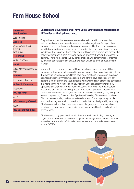# <span id="page-7-0"></span>**Fern House School**

#### **Executive**

**Headteacher**

Zoe Hussain

### **Address**

Chesterfield Road Enfield EN3 6BG

#### **Telephone**

01992 760860

**Email**

[office@fernhouseschool.](mailto:office%40fernhouseschool.org?subject=) [org](mailto:office%40fernhouseschool.org?subject=)

**Website**

[fernhouseschool.org](https://www.fernhouseschool.org)

**School DfE number**

308/7001

**DfE age range**

4-16

**DfE Category of Need**

**SFMH** 

**Capacity (2022-2023)**

#### 70

### **Children and young people will have Social Emotional and Mental Health difficulties as their primary need.**

They will usually exhibit a range of extreme behaviours which, through their nature, persistence, and severity have a cumulative negative effect upon their own and other's emotional well-being and mental health. They may also present as withdrawn and socially isolated or be experiencing emotionally based school avoidance. The impact of those behaviours will have had a severe and measurable negative effect upon a child or young person's attainment and/or their access to learning. There will be extensive evidence that sustained interventions, informed by external specialist professionals, have been unable to bring about a positive change.

Many children and young people will have attachment needs and/or will have experienced trauma or adverse childhood experiences that impacts significantly on their behavioural presentation. Some have poor emotional literacy and may have significantly delayed/immature social skills and others have persistent low selfesteem. Some children and young people will have medically diagnosed conditions that relate to their difficulties such as Attention Deficit Hyperactivity Disorder, Oppositional Defiance Disorder, Autistic Spectrum Disorder, conduct disorder and/or relevant mental health diagnoses. A number of pupils will present with behaviours associated with significant mental health difficulties e.g. psychological trauma, depression, Foetal Alcohol Syndrome Disorder, Obsessive Compulsive Disorder, severe anxiety, self-harm, eating disorders. Some pupils may require mood enhancing medication or medication to inhibit impulsivity and hyperactivity. Children across the school may have speech, language and communication needs as a secondary need but social, emotional, mental health needs will be their primary need.

Children and young people will vary in their academic functioning covering a cognitive and curriculum span from 2-3 years below age related expectations to more able. At the end of KS4 students undertake functional skills assessments and/or GCSEs.

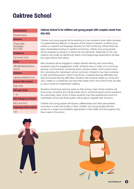# <span id="page-8-0"></span>**Oaktree School**

#### **Headteacher**

Russell Davey

#### **Address**

Chase Side **Southgate** N14 4HN

### **Telephone**

020 8440 3100

### **Email**

[office@oaktreeschool.](mailto:office%40oaktreeschool.org.uk?subject=) [org.uk](mailto:office%40oaktreeschool.org.uk?subject=)

**Website**

[oaktree.enfield.sch.uk](https://www.oaktree.enfield.sch.uk/)

**School DfE number**

308/7005

**DfE age range**

7-19

**DfE Category of Need**

MLD and SLD

**Capacity (2022-2023)**

132

## **Oaktree School is for children and young people with complex needs from KS2-KS5.**

Children and young people will be attaining at a low academic level, either because of a global learning difficulty or because of the impact of specific conditions (e.g. autism or a speech and language disorder) on their functioning. Where there has been standardised testing of cognitive functioning, children and young people will be assessed as being at or below the 2nd percentile. Attainment in the core subjects will usually be significantly below chronological age expectations (at least four years behind their peers).

Most students will be engaged in subject-specific learning with some being assessed using the engagement model. Students have a variety of co-occurring learning, communication, emotional and/or physical needs, which prevent them from accessing the mainstream school curriculum. Students may have moderate to high functioning autism, Down's Syndrome, moderate learning difficulties and high-end severe learning difficulties. Students with physical needs e.g. those who use a walker or a wheelchair can have their needs met in the school if they are able to use a cricket for independent toileting.

Students should have learning needs as their primary need. Some students will have social, emotional and mental needs and/or emotional based school avoidance as a secondary need. Some of these students may have experienced trauma in mainstream school and those autism will be able to regulate their emotions.

Children and young people will require a differentiated and often personalised curriculum to meet their profile of need. Children and young people will have access to a range of accreditation appropriate to their ability and the progress they have made in the school.



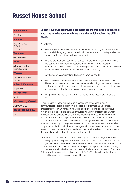# <span id="page-9-0"></span>**Russet House School**

#### **Headteacher**

Gilly Taylor

#### **Address**

Autumn Close Enfield EN1 4JA

#### **Telephone**

020 8350 0650

**Email**

[office@russethouse.](mailto:office%40russethouse.enfield.sch.uk?subject=) [enfield.sch.uk](mailto:office%40russethouse.enfield.sch.uk?subject=)

**Website**

[russethouse.enfield.](https://www.russethouse.enfield.sch.uk) [sch.uk](https://www.russethouse.enfield.sch.uk)

**School DfE number**

308/7008

**DfE age range**

3-11

#### **DfE Category of Need**

ASD with SLD

**Capacity (2022-2023)**

135

### **Russet House School provides education for children aged 3-11 years old who have an Education Health and Care Plan which outlines the child's needs.**

All children:

- have a diagnosis of autism as their primary need, which significantly impacts on their daily living (e.g. a child who has limited awareness of safety and/or may require a high level of support to manage self-care.
- have severe additional learning difficulties and are working at communicative and cognitive levels more comparable to children of a much younger chronological age e.g. a year 5 child learning at a level of an 18 month old child and is therefore unable to access subject specific learning.
- may have some additional medical and/or physical needs
- often have sensory sensitivities and are over-sensitive or under-sensitive to different stimuli e.g. sound, textures, tastes, smells, things they see, movement (vestibular sense), internal body sensations (interoceptive sense) and they may not know where their body is in space (proprioceptive sense)
- may present with some emotional and mental health needs alongside their autism

In conjunction with their autism pupils experience differences in social communication, social interaction, processing of information and sensory processing; these vary for each individual pupil. These differences may result in high levels of stress, anxiety and difficulties with emotional regulation which may result in behaviours which challenge (including harm towards themselves and others). The school supports children to learn to regulate their emotions, communicate as effectively as possible and manage their behaviours. For a very small number of pupils, despite extensive in-school interventions more specialist support is required to help them to manage their mental health and/or behaviours towards others; these children's needs may not be able to be appropriately met at the school and alternative placements will be sought.

Children are allocated a place at the school by the Local Authority's SEN Services. Following a parental request for a place at Russet House to be considered for their child, Russet House will be consulted. The school will consider the information sent by SEN Services and may also meet the prospective pupil in their current setting in order to ascertain whether they can meet a child's educational needs. The Local Authority will then name the school on a child's EHCP if they determine that the child will be allocated a place at Russet House.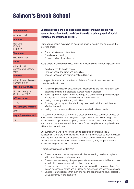# <span id="page-10-0"></span>**Salmon's Brook School**

#### **Headteacher**

Andrew Lloyd

#### **Address**

Bell Lane Enfield EN3 5PA

#### **Telephone**

020 8360 3158

#### **Email**

[admissions@](mailto:admissions%40salmonsbrook.edact.org.uk?subject=) [salmonsbrook.edact.](mailto:admissions%40salmonsbrook.edact.org.uk?subject=) [org.uk](mailto:admissions%40salmonsbrook.edact.org.uk?subject=)

#### **Website**

[edmontoncounty.co.uk/](http://www.edmontoncounty.co.uk/salmons-brook/) [salmons-brook](http://www.edmontoncounty.co.uk/salmons-brook/)

#### **School DfE number**

School opening in September 2022

**DfE age range**

11-19

**DfE Category of Need**

**SEMH** 

#### **Capacity (2022-2023)**

40

# **Salmon's Brook School is a specialist school for young people who have an Education, Health and Care Plan with a primary need of Social Emotional Mental Health (SEMH).**

Some young people may have co-occurring areas of need in one or more of the following areas:

- Communication and interaction
- Cognition and learning
- Sensory and/or physical needs

Young people referred and admitted to Salmon's Brook School are likely to present with:

- Significant mental health issues
- Forms of social and emotional difficulties
- Speech, language and communication difficulties

Young people referred and admitted to Salmon's Brook School may also be characterised as follows:

- Functioning significantly below national expectations and may contradict early academic profiling that predicted average rates of progress
- Having significant gaps in their knowledge and understanding across a range of subjects compared to learners in mainstream schools
- Having numeracy and literacy difficulties
- Showing signs of high ability, which may have previously identified them as gifted or talented
- Having other forms of additional and/or special educational needs

The school is committed to providing a broad and balanced curriculum, based on the National Curriculum for those young people of compulsory school age. This is blended with opportunities for young people to develop functional skills, social, emotional and independence skills and skills for working life as appropriate in line with the 14-19 curriculum.

Our curriculum is underpinned with young people's personal and social development and therefore ensures that learning is personalised to each individual, meaning that their individual therapeutic provision and highly differentiated and individualised timetables are in place to ensure that all young people are able to access learning and flourish, over time.

In practice this means our learners:

- Enjoy a curriculum that recognises their diverse learning needs and styles and which stretches and challenges them
- Enjoy access to a variety of age-appropriate extra-curricular activities and have opportunities to participate in the school community
- Access recognised programmes of study, personalised learning and, at post 14, receive independent advice and guidance on options and choices for progression
- Develop learning skills so that everyone has the opportunity to study at least 5 GCSE subjects, or the equivalent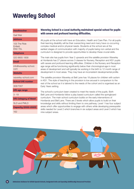# <span id="page-11-0"></span>**Waverley School**

#### **Headteacher**

Gail Weir

#### **Address**

105 The Ride Enfield EN3 7DL

#### **Telephone**

020 8805 1858

#### **Email**

[info@waverley-school.](mailto:info%40waverley-school.com?subject=) [com](mailto:info%40waverley-school.com?subject=)

#### **Website**

[waverley-school.com](http://www.waverley-school.com)

**School DfE number**

308/7007

**DfE age range**

3 -19

**DfE Category of Need**

SLD and PMLD

**Capacity (2022-2023)**

162

### **Waverley School is a Local Authority maintained special school for pupils with severe and profound learning difficulties.**

All pupils at the school with have an Education, Health and Care Plan. For all pupils their learning disability will be their overarching need and many have co-occurring complex medical and/or physical needs. Students at the school are at the earliest stages of communication with majority of pupils being non-verbal and the curriculum is designed to provide opportunities to develop these crucial skills.

The main site has pupils from Year 2 upwards and the satellite provision Waverley at Honilands has 27 places across 3 classes for Nursery, Reception and KS1 pupils with severe and profound learning difficulties. Children in the Nursery and Reception age range will be functioning significantly below their chronological age in most areas of development and will typically be working in the birth to 12 month range of development in most areas. They may have an inconsistent developmental profile.

The satellite provision Waverley at Bell Lane has 18 places for children with autism in KS1. The style of teaching in the provision is low arousal in comparison to the rest of the school as it is tailored to the needs of the cohort and is organised as an Early Years setting.

The school's curriculum been created to meet the needs of the pupils. Both Bell Lane and Honilands follow a play based curriculum called the springboard curriculum. The main school curriculum builds on the early interventions of Honilands and Bell Lane. There are 3 levels which allow pupils to build on their knowledge and skills without limiting them to one pathway. Level 1 has four subject areas which offer opportunities to engage with others while developing prerequisite skills needed for Level 2 which branches in six subject areas and Level 3 which has nine subject areas.

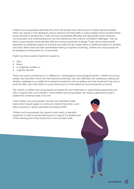Children and young people attending the school will typically have a life-long and complex learning disability which may require a multi-disciplinary service response and their ability to make progress will be severely limited across all areas of development. Pupils will have considerable difficulties with appropriate social interaction, communication and understanding and may have behaviours that could be considered challenging. They are likely to have severely limited self-help skills and minimal awareness of danger. Pupils will be predominantly dependent on additional support for personal care skills and are usually reliant on additional support for activities and travel. Where there has been standardised testing of cognitive functioning, children and young people will be assessed as being below the 1st percentile.

Pupils may have a severe impairment caused by:

- injury
- **illness**
- a congenital condition or
- a genetic disorder

These may cause a severe loss of, or difference in, physiological or psychological function. Children and young people may have little control over their physical functioning, may have difficulties with swallowing, feeding and drinking, dysphagia or an additional neurological impairment such as epilepsy and their impairment may have a profound effect upon their ability to access learning and on their attainment and achievement at school.

The majority of children and young people will require the use of alternative or augmentative approaches and aids to support their communication. Some children and young people may require a gastrostomy tube to enable their nutritional needs to be met.

A few children and young people may also have significant health needs which require regular or continuous medical intervention, such deep suctioning or aerosol generated procedures (AGP).

Children and young people may require a wide variety of specialist equipment in order to access learning and to support the development of their learning and of their physical and communication skills.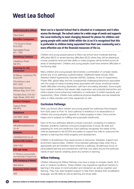# <span id="page-13-0"></span>**West Lea School**

#### **Chief Executive Officer**

Paul Quinn

**Meridian Campuses**

174 Dyson's Road N18 2DS

Springfield Road N11 1RR

**Haselbury Campus**

Haselbury Road N9 9TU

**Learning for Life Campuses**

St Marys, Lawrence Rd N18 2HP

Churchbury Lane EN1 3HQ

Broomfield School Wilmer Way, N14 7HY

Ponders End, 219-221 High Street, EN3 4DZ

**Horizon Campus**

Cyprus Road N9 9PG

**Telephone**

020 8807 2656

**Email**

[office@westleaschool.](mailto:office%40westleaschool.co.uk?subject=) [co.uk](mailto:office%40westleaschool.co.uk?subject=)

**Website**

[westleaschool.co.uk](https://westleaschool.co.uk/)

**School DfE number**

308/7002

**DfE age range**

4-19 (plus young people via Internship Programme)

**DfE Category of Need**

See below

**Capacity (2022-2023)**

400

**West Lea is a Special School that is situated on 4 campuses and 9 sites across the Borough. The school caters for a wide range of needs and supports the Local Authority to meet changing demand for places for children and young people with varied SEND within the LA as it is recognised that this is preferable to children being separated from their own community and a more effective use of the financial resources of the LA.** 

Children and young people placed at West Lea school have moderate learning difficulties (MLD) or severe learning difficulties (SLD) where they will be attaining at a lower academic level and their ability to make progress will be limited across all areas of development. Children and young people could have extreme difficulties in functioning daily.

Many children and young people demonstrate a combination of complex needs, across any of our pathways (outlined below). Additional needs include, ASD, Attention Deficit Hyperactivity Disorder (ADHD), Dyslexia, HI and VI impairments, Prader Willi, global delay and the consequential challenging behaviours associated with this range of needs including those associated with social, emotional mental health difficulties including depression, self-harm and eating disorders. Some pupils have medical conditions that require daily supervision and potential intervention and others require mood enhancing medication or medication to inhibit impulsivity and hyperactivity. Other children have additional physical disabilities and are wheelchair users or utilise standers and other equipment on site.

### **Curriculum Pathways**

West Lea School offers children and young people four pathways that progress from Early years to Post 16. Each pathway is ambitious in its expectations of children and young people's capacity to make progress to learn, thrive and be happy and to prepare for fulfilling and purposeful adulthoods.

Each of the four pathways delivers a broad curriculum consisting of a balance between academic (national curriculum) programmes of study, life skills and preparing for work and adulthood. Each pathway recognises the needs of the child as expressed in the EHCPs and seeks to support the child to overcome the barriers to learning that inhibit progress and development.

Children in all pathways have equal access to resources, therapies, support and enrichment opportunities. Children move between pathways freely when this is appropriate and are therefore never limited by a pathway. All pathways focus on personalised learning and practitioners craft their own plans around the particular needs of each learner, breaking down any barriers to learning.

### **Willow Pathway**

Children following the Willow Pathway may have a range of complex needs, SLD and/ or medical conditions. These children may experience significant barriers to learning in the areas of communication and interaction as well as cognition and learning. They may need targeted support to help them develop their socialization, language, and life skills as well as learning and study skills.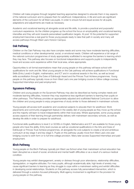Children will make progress through targeted teaching approaches designed to educate them in key aspects of the national curriculum and to prepare them for adulthood. Independence, in life and work are significant elements of the curriculum for all West Lea pupils. In order to ensure full and equal access for all pupils, adaptations and adjustments are made as necessary.

Academic and vocational learning sit alongside social and life skills, to provide a practical and purposeful curriculum experience. As the children progress up the school the focus on employability and vocational learning intensifies and they will work towards personalised qualification targets. At post 16 the potential for supported employment becomes a real goal for those young people ready to take that path in society and many will access pathways through West Lea's Horizon Campus.

### **Oak Pathway**

Children on the Oak Pathway may also have complex needs and some may have moderate learning difficulties, medical conditions or other developmental, social, or emotional needs. Children will experience a full range of the national curriculum programmes of study appropriately scaffolded to recognise the barriers to learning which they may face. This pathway also focuses on functional independence and supports pupils to independently travel and access work experience within their local area, where appropriate.

Opportunities to sit formal examinations mean that young people on this pathway will leave school with qualifications for work and life. Most young people on the Oak pathway will achieve qualifications in Functional Skills (Entry Level) in English, mathematics, and ICT and in vocational awards in the Arts, as well as broad skills accreditation through the Duke of Edinburgh Award and the Princes Trust Achieve programmes. Young people on this pathway typically move on from West Lea's one year bridging course to follow college courses, Supported Internships and paid employment.

### **Sycamore Pathway**

Children and young people on the Sycamore Pathway may also be described as having complex needs and moderate learning difficulties, however they may experience less significant barriers to learning than pupils on other pathways. This Pathway provides an appropriately adjusted and scaffolded National Curriculum to allow the children and young people to enjoy programmes of study similar to those delivered in mainstream schools.

Young people will access both academic and vocational subjects to educate them for adulthood. Work placements and community engagement feature in the weekly diet of young people as they move up the school, and the majority will learn to travel independently within their local area. Where appropriate, some young people access aspects of their learning through partnership delivery with mainstream secondary schools, as well as develop life skills in order to prepare for adulthood.

Functional skills qualifications to level 2 or GCSEs in English, Mathematics and ICT are available for those young people who have the ability. Entry level courses as well as vocational qualifications in the Arts and Duke of Edinburgh or Princes Trust Achieve programmes, sit alongside the core subjects to create a full and ambitious curriculum at key stage 4 and key stage 5. Pupils on this pathway usually move from West Lea's one-year bridging course to sixth form or to full time college provision. Many later access Supported Internships and paid employment.

## **Birch Pathway**

Young people on the Birch Pathway typically join West Lea School when their mainstream school education has been disrupted as a result of social, emotional and mental health difficulties or as a result of a serious medical condition.

Young people may exhibit disengagement, anxiety or distress through poor attendance, relationship difficulties, dysregulation, or negative attitudes. For many pupils, although academically able, high levels of anxiety may cause significant barriers to learning as they struggle to cope within a mainstream setting and exhibit difficulties in developing social relationships. Students on this pathway access fully personalised intervention, which is delivered through a solution-focused philosophy. Multi agency involvement is significant in the provision for young people on this pathway.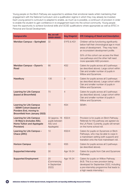Young people on the Birch Pathway are supported to address their emotional needs whilst maintaining their engagement with the National Curriculum and a qualification regime in which they may already be invested. Each young person's curriculum is adapted to enable, as much as is possible, a continuum of provision in order to enable the student to gain confidence in re-engagement back into the school community. Young people have the opportunity to achieve functional skills and GCSE qualifications where appropriate as well as BTEC in Personal and Social Development.

| <b>Campus/site</b>                                                                                                           | No. on roll<br>$(2021 - 2022)$                            | <b>Key Stage(s)</b> | <b>DfE Category of Need and Description</b>                                                                                                                                                     |
|------------------------------------------------------------------------------------------------------------------------------|-----------------------------------------------------------|---------------------|-------------------------------------------------------------------------------------------------------------------------------------------------------------------------------------------------|
| Meridian Campus - Springfield                                                                                                | 32                                                        | EYFS & KS1          | Children will be functioning significantly<br>below half their chronological age in most<br>areas of development. They may have<br>an inconsistent development profile.                         |
|                                                                                                                              |                                                           |                     | 50% of this cohort can access the West<br>Lea pathways and the other half need<br>more specialist ASD provision.                                                                                |
| Meridian Campus - Dyson's<br>Road                                                                                            | 66                                                        | KS <sub>2</sub>     | Caters for pupils across all 3 pathways<br>(as described above). Large cohort within<br>Oak and smaller number of pupils in<br>Willow and Sycamore.                                             |
| <b>Haselbury</b>                                                                                                             | 135                                                       | 3                   | Caters for pupils across all 3 pathways<br>(as described above). Large cohort within<br>Oak and smaller number of pupils in<br>Willow and Sycamore.                                             |
| <b>Learning for Life Campus</b><br>(based at Broomfield)                                                                     | 70                                                        | $\overline{4}$      | Caters for pupils across all 3 pathways<br>(as described above). Large cohort within<br>Oak and smaller number of pupils in<br>Willow and Sycamore.                                             |
| <b>Learning for Life Campus</b><br>- SEMH Cohort (based at<br>Ponders End, moving to<br><b>Broomfield from January 2022)</b> | 16                                                        | KS4                 | SEMH.                                                                                                                                                                                           |
| <b>Learning for Life Campus</b><br>- St Mary's (includes ASU,<br><b>Home Tuition and Applegate</b><br>Provision)             | 32 (approx. 16<br>pupils between<br>ASU and<br>Applegate) | <b>KS3/4</b>        | Provision is for pupils on Birch Pathway.<br>Referrals for this pathway are agreed via<br>the LA Panel. Currently, pupils will remain<br>on the home school roll.                               |
| Learning for Life Campus -<br>Chace (ARC)                                                                                    | 10                                                        | <b>KS3/4</b>        | Caters for pupils on Sycamore or Birch<br>Pathways, who may be able to cope in<br>a mainstream setting (with support) and<br>transition onto the host mainstream roll.                          |
| <b>Horizon Campus</b>                                                                                                        | 60                                                        | KS5                 | Caters for pupils across all 3 pathways<br>(as described above).                                                                                                                                |
| <b>Supported Internship</b>                                                                                                  | 30                                                        | Age 18-24           | Caters for pupils from Oak and Sycamore<br>Pathways.                                                                                                                                            |
| <b>Supported Employment</b>                                                                                                  | 20<br>(Commencing<br>in September<br>2022)                | Age 18-24           | Caters for pupils on Willow Pathway.<br>(N.B. This is a new provision being<br>developed for September 2022, including<br>a pre-internship programme that leads to<br>a high needs internship.) |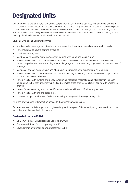# <span id="page-16-0"></span>**Designated Units**

Designated Units are for children and young people with autism or on the pathway to a diagnosis of autism and moderate to severe learning difficulties where there is a need for provision that is usually found in a special school. All students in a Unit will have an EHCP and be placed in the Unit through the Local Authority's SEN Service. Students may integrate into mainstream social times and/or lessons for short periods of time, but the majority of their educational provision will be within the Unit.

Students who attend Designated Units:

- Are likely to have a diagnosis of autism and/or present with significant social communication needs
- Have moderate to severe learning difficulties
- May have sensory needs
- May be able to manage some independent learning with structured visual support
- Have difficulties with communication such as: limited non-verbal communication skills, difficulties with verbal comprehension, understanding abstract language and non-literal language, restricted, unusual use of language
- May use a range of Augmentative and Alternative Communication to support spoken language
- Have difficulties with social interaction such as: not initiating or avoiding contact with others, inappropriate social and emotional behaviour
- Have difficulties with thinking and behaviour such as: restricted imagination and inflexible thinking such as repetitive rather than imaginative play, fixed or limited areas of interest, difficulty coping with unplanned change
- Have difficulty regulating emotions and/or associated mental health difficulties e.g. anxiety
- Have difficulties with fine and gross skills
- May need support in all areas of self-care including toileting and dressing (primary only)

All of the above needs will impact on access to the mainstream curriculum.

Students access specialist support through teaching and therapies. Children and young people will be on the roll of the school where the Unit is located.

## **Designated Units in Enfield**

- De Bohun Primary School (opened September 2021)
- Brimsdown Primary School (opening June 2022)
- Lavender Primary School (opening September 2022)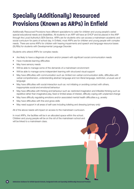# <span id="page-17-0"></span>**Specially (Additionally) Resourced Provisions (Known as ARPs) in Enfield**

Additionally Resourced Provisions have different specialisms to cater for children and young people's varied special educational needs and disabilities. All students in an ARP will have an EHCP and be placed in the ARP through the Local Authority's SEN Service. ARPs are for students who can access a mainstream academic and social curriculum for parts of school day. In Enfield, most ARPs are for children and young people with complex needs. There are some ARPs for children with hearing impairments and speech and language resource bases (SLRBs) for students with Developmental Language Disorder.

Students who attend ARPs for complex needs:

- Are likely to have a diagnosis of autism and/or present with significant social communication needs
- Have moderate learning difficulties
- May have sensory needs
- Will be able to manage some of the demands of a mainstream environment
- Will be able to manage some independent learning with structured visual support
- May have difficulties with communication such as: limited non-verbal communication skills, difficulties with verbal comprehension, understanding abstract language and non-literal language, restricted, unusual use of language
- May have difficulties with social interaction such as: not initiating or avoiding contact with others, inappropriate social and emotional behaviour
- May have difficulties with thinking and behaviour such as: restricted imagination and inflexible thinking such as repetitive rather than imaginative play, fixed or limited areas of interest, difficulty coping with unplanned change
- May have difficulty regulating emotions and/or associated mental health difficulties e.g. anxiety
- May have difficulties with fine and gross skills
- May need support in all areas of self-care including toileting and dressing (primary only)

All of the above needs will impact on access to the mainstream curriculum.

In most ARPs, the facilities will be in an allocated space within the school. Children and young people will be on the roll of the mainstream school and will be linked to a mainstream class.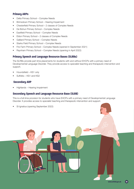# **Primary ARPs**

- Delta Primary School Complex Needs
- Brimsdown Primary School Hearing Impairment
- Chesterfield Primary School 2 classes of Complex Needs
- De Bohun Primary School Complex Needs
- Eastfield Primary School Complex Needs
- Eldon Primary School 2 classes of Complex Needs
- Galliard Primary School Complex Needs
- Starks Field Primary School Complex Needs
- Firs Farm Primary School Complex Needs (opened in September 2021)
- Raynham Primary School Complex Needs (opening in April 2022)

### **Primary Speech and Language Resource Bases (SLRBs)**

The SLRBs provide part-time placements for students with and without EHCPs with a primary need of Developmental Language Disorder. They provide access to specialist teaching and therapeutic intervention and support.

- Houndsfield KS1 only
- Suffolks KS1 and KS2

### **Secondary ARP**

• Highlands – Hearing Impairment

### **Secondary Speech and Language Resource Base (SLRB)**

This is a full-time provision for students who have EHCPs with a primary need of Developmental Language Disorder. It provides access to specialist teaching and therapeutic intervention and support.

• St Ignatius (opening September 2022)